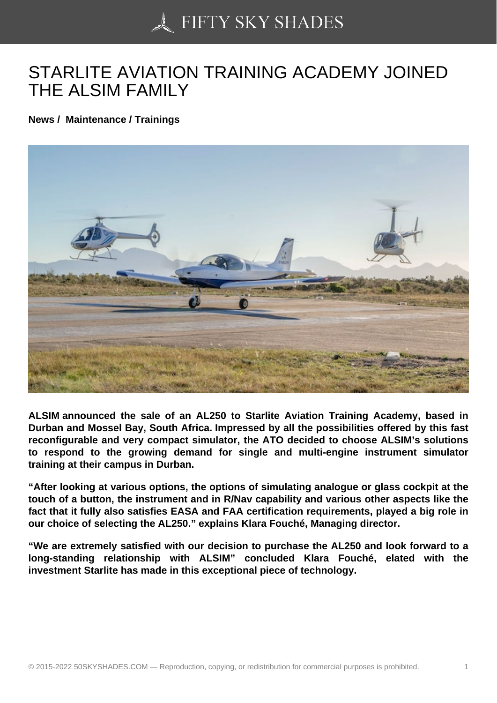## [STARLITE AVIATION](https://50skyshades.com) TRAINING ACADEMY JOINED THE ALSIM FAMILY

News / Maintenance / Trainings

ALSIM announced the sale of an AL250 to Starlite Aviation Training Academy, based in Durban and Mossel Bay, South Africa. Impressed by all the possibilities offered by this fast reconfigurable and very compact simulator, the ATO decided to choose ALSIM's solutions to respond to the growing demand for single and multi-engine instrument simulator training at their campus in Durban.

"After looking at various options, the options of simulating analogue or glass cockpit at the touch of a button, the instrument and in R/Nav capability and various other aspects like the fact that it fully also satisfies EASA and FAA certification requirements, played a big role in our choice of selecting the AL250." explains Klara Fouché, Managing director.

"We are extremely satisfied with our decision to purchase the AL250 and look forward to a long-standing relationship with ALSIM" concluded Klara Fouché, elated with the investment Starlite has made in this exceptional piece of technology.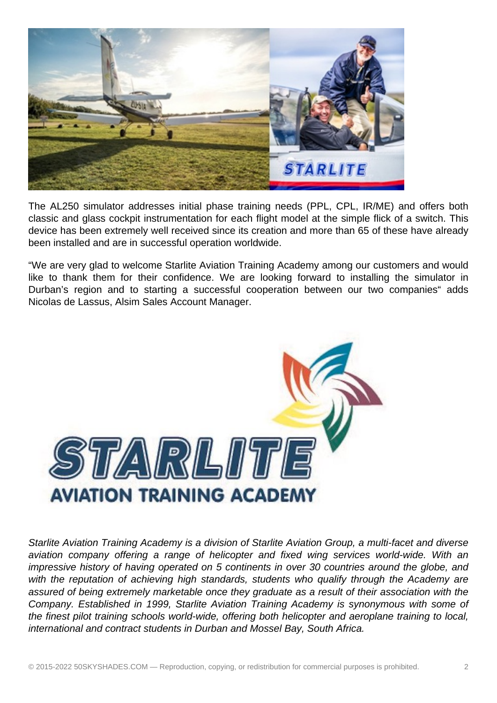

The AL250 simulator addresses initial phase training needs (PPL, CPL, IR/ME) and offers both classic and glass cockpit instrumentation for each flight model at the simple flick of a switch. This device has been extremely well received since its creation and more than 65 of these have already been installed and are in successful operation worldwide.

"We are very glad to welcome Starlite Aviation Training Academy among our customers and would like to thank them for their confidence. We are looking forward to installing the simulator in Durban's region and to starting a successful cooperation between our two companies" adds Nicolas de Lassus, Alsim Sales Account Manager.



Starlite Aviation Training Academy is a division of Starlite Aviation Group, a multi-facet and diverse aviation company offering a range of helicopter and fixed wing services world-wide. With an impressive history of having operated on 5 continents in over 30 countries around the globe, and with the reputation of achieving high standards, students who qualify through the Academy are assured of being extremely marketable once they graduate as a result of their association with the Company. Established in 1999, Starlite Aviation Training Academy is synonymous with some of the finest pilot training schools world-wide, offering both helicopter and aeroplane training to local, international and contract students in Durban and Mossel Bay, South Africa.